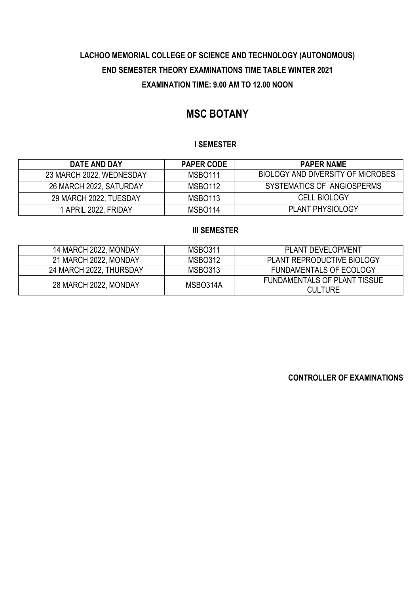# **MSC BOTANY**

## **I SEMESTER**

| DATE AND DAY             | <b>PAPER CODE</b>   | <b>PAPER NAME</b>                 |
|--------------------------|---------------------|-----------------------------------|
| 23 MARCH 2022, WEDNESDAY | MSBO <sub>111</sub> | BIOLOGY AND DIVERSITY OF MICROBES |
| 26 MARCH 2022, SATURDAY  | MSBO <sub>112</sub> | SYSTEMATICS OF ANGIOSPERMS        |
| 29 MARCH 2022, TUESDAY   | MSBO <sub>113</sub> | <b>CELL BIOLOGY</b>               |
| 1 APRIL 2022, FRIDAY     | MSBO <sub>114</sub> | <b>PLANT PHYSIOLOGY</b>           |

### **III SEMESTER**

| 14 MARCH 2022, MONDAY   | <b>MSBO311</b> | <b>PLANT DEVELOPMENT</b>                              |
|-------------------------|----------------|-------------------------------------------------------|
| 21 MARCH 2022, MONDAY   | MSBO312        | PLANT REPRODUCTIVE BIOLOGY                            |
| 24 MARCH 2022, THURSDAY | MSBO313        | <b>FUNDAMENTALS OF ECOLOGY</b>                        |
| 28 MARCH 2022, MONDAY   | MSBO314A       | <b>FUNDAMENTALS OF PLANT TISSUE</b><br><b>CULTURE</b> |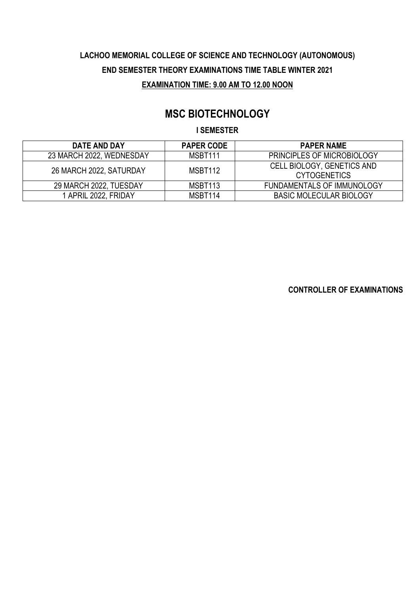# **MSC BIOTECHNOLOGY**

### **I SEMESTER**

| DATE AND DAY             | <b>PAPER CODE</b>   | <b>PAPER NAME</b>                                 |
|--------------------------|---------------------|---------------------------------------------------|
| 23 MARCH 2022, WEDNESDAY | MSBT <sub>111</sub> | <b>PRINCIPLES OF MICROBIOLOGY</b>                 |
| 26 MARCH 2022, SATURDAY  | MSBT <sub>112</sub> | CELL BIOLOGY, GENETICS AND<br><b>CYTOGENETICS</b> |
| 29 MARCH 2022, TUESDAY   | MSBT <sub>113</sub> | <b>FUNDAMENTALS OF IMMUNOLOGY</b>                 |
| 1 APRIL 2022, FRIDAY     | MSBT114             | <b>BASIC MOLECULAR BIOLOGY</b>                    |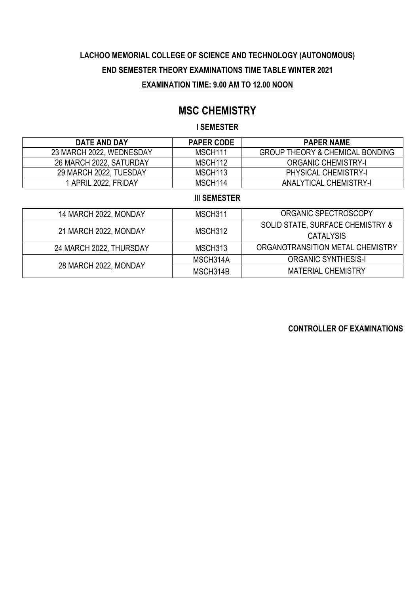## **MSC CHEMISTRY**

### **I SEMESTER**

| DATE AND DAY             | <b>PAPER CODE</b>   | <b>PAPER NAME</b>                          |
|--------------------------|---------------------|--------------------------------------------|
| 23 MARCH 2022, WEDNESDAY | MSCH <sub>111</sub> | <b>GROUP THEORY &amp; CHEMICAL BONDING</b> |
| 26 MARCH 2022, SATURDAY  | MSCH <sub>112</sub> | <b>ORGANIC CHEMISTRY-I</b>                 |
| 29 MARCH 2022, TUESDAY   | MSCH <sub>113</sub> | <b>PHYSICAL CHEMISTRY-I</b>                |
| APRIL 2022, FRIDAY       | MSCH <sub>114</sub> | <b>ANALYTICAL CHEMISTRY-I</b>              |

### **III SEMESTER**

| 14 MARCH 2022, MONDAY   | MSCH311  | ORGANIC SPECTROSCOPY             |
|-------------------------|----------|----------------------------------|
|                         |          | SOLID STATE, SURFACE CHEMISTRY & |
| 21 MARCH 2022, MONDAY   | MSCH312  | <b>CATALYSIS</b>                 |
| 24 MARCH 2022, THURSDAY | MSCH313  | ORGANOTRANSITION METAL CHEMISTRY |
| 28 MARCH 2022, MONDAY   | MSCH314A | <b>ORGANIC SYNTHESIS-I</b>       |
|                         | MSCH314B | <b>MATERIAL CHEMISTRY</b>        |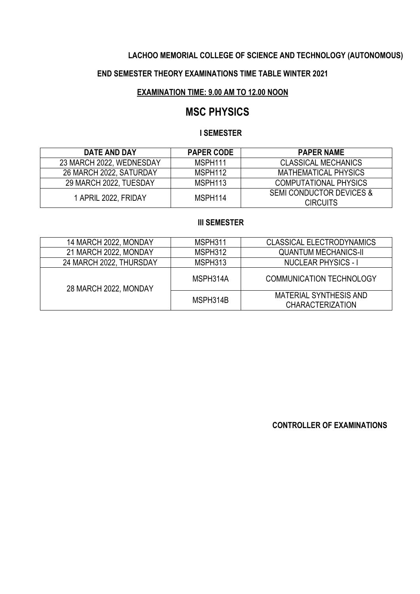## **LACHOO MEMORIAL COLLEGE OF SCIENCE AND TECHNOLOGY (AUTONOMOUS)**

## **END SEMESTER THEORY EXAMINATIONS TIME TABLE WINTER 2021**

#### **EXAMINATION TIME: 9.00 AM TO 12.00 NOON**

## **MSC PHYSICS**

### **I SEMESTER**

| DATE AND DAY             | <b>PAPER CODE</b> | <b>PAPER NAME</b>                                      |
|--------------------------|-------------------|--------------------------------------------------------|
| 23 MARCH 2022, WEDNESDAY | MSPH111           | <b>CLASSICAL MECHANICS</b>                             |
| 26 MARCH 2022, SATURDAY  | MSPH112           | MATHEMATICAL PHYSICS                                   |
| 29 MARCH 2022, TUESDAY   | MSPH113           | <b>COMPUTATIONAL PHYSICS</b>                           |
| 1 APRIL 2022, FRIDAY     | MSPH114           | <b>SEMI CONDUCTOR DEVICES &amp;</b><br><b>CIRCUITS</b> |

### **III SEMESTER**

| 14 MARCH 2022, MONDAY   | MSPH311  | <b>CLASSICAL ELECTRODYNAMICS</b>                         |
|-------------------------|----------|----------------------------------------------------------|
| 21 MARCH 2022, MONDAY   | MSPH312  | <b>QUANTUM MECHANICS-II</b>                              |
| 24 MARCH 2022, THURSDAY | MSPH313  | <b>NUCLEAR PHYSICS - I</b>                               |
| 28 MARCH 2022, MONDAY   | MSPH314A | <b>COMMUNICATION TECHNOLOGY</b>                          |
|                         | MSPH314B | <b>MATERIAL SYNTHESIS AND</b><br><b>CHARACTERIZATION</b> |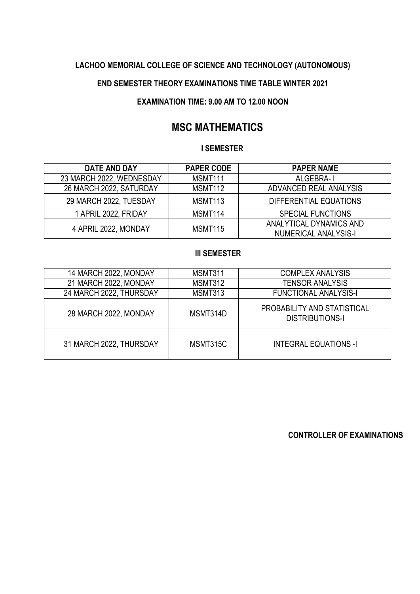## **LACHOO MEMORIAL COLLEGE OF SCIENCE AND TECHNOLOGY (AUTONOMOUS)**

### **END SEMESTER THEORY EXAMINATIONS TIME TABLE WINTER 2021**

### **EXAMINATION TIME: 9.00 AM TO 12.00 NOON**

# **MSC MATHEMATICS**

### **I SEMESTER**

| <b>DATE AND DAY</b>      | <b>PAPER CODE</b> | <b>PAPER NAME</b>                                      |
|--------------------------|-------------------|--------------------------------------------------------|
| 23 MARCH 2022, WEDNESDAY | MSMT111           | ALGEBRA-I                                              |
| 26 MARCH 2022, SATURDAY  | MSMT112           | ADVANCED REAL ANALYSIS                                 |
| 29 MARCH 2022, TUESDAY   | MSMT113           | DIFFERENTIAL EQUATIONS                                 |
| 1 APRIL 2022, FRIDAY     | MSMT114           | <b>SPECIAL FUNCTIONS</b>                               |
| 4 APRIL 2022, MONDAY     | MSMT115           | ANALYTICAL DYNAMICS AND<br><b>NUMERICAL ANALYSIS-I</b> |

## **III SEMESTER**

| 14 MARCH 2022, MONDAY   | MSMT311  | <b>COMPLEX ANALYSIS</b>                               |
|-------------------------|----------|-------------------------------------------------------|
| 21 MARCH 2022, MONDAY   | MSMT312  | <b>TENSOR ANALYSIS</b>                                |
| 24 MARCH 2022, THURSDAY | MSMT313  | <b>FUNCTIONAL ANALYSIS-I</b>                          |
| 28 MARCH 2022, MONDAY   | MSMT314D | PROBABILITY AND STATISTICAL<br><b>DISTRIBUTIONS-I</b> |
| 31 MARCH 2022, THURSDAY | MSMT315C | <b>INTEGRAL EQUATIONS -I</b>                          |